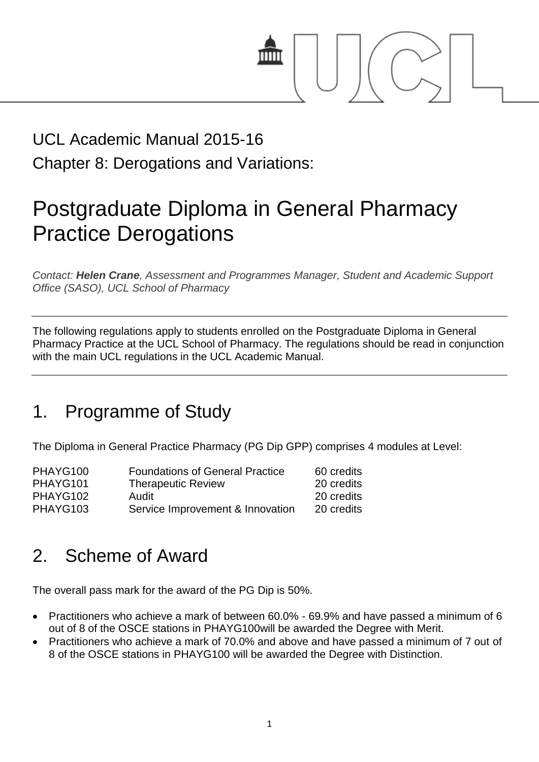

## UCL Academic Manual 2015-16 Chapter 8: Derogations and Variations:

# Postgraduate Diploma in General Pharmacy Practice Derogations

*Contact: Helen Crane, Assessment and Programmes Manager, Student and Academic Support Office (SASO), UCL School of Pharmacy*

The following regulations apply to students enrolled on the Postgraduate Diploma in General Pharmacy Practice at the UCL School of Pharmacy. The regulations should be read in conjunction with the main UCL regulations in the UCL Academic Manual.

#### 1. Programme of Study

The Diploma in General Practice Pharmacy (PG Dip GPP) comprises 4 modules at Level:

| <b>Foundations of General Practice</b> | 60 credits |
|----------------------------------------|------------|
| <b>Therapeutic Review</b>              | 20 credits |
| Audit                                  | 20 credits |
| Service Improvement & Innovation       | 20 credits |
|                                        |            |

### 2. Scheme of Award

The overall pass mark for the award of the PG Dip is 50%.

- Practitioners who achieve a mark of between 60.0% 69.9% and have passed a minimum of 6 out of 8 of the OSCE stations in PHAYG100will be awarded the Degree with Merit.
- Practitioners who achieve a mark of 70.0% and above and have passed a minimum of 7 out of 8 of the OSCE stations in PHAYG100 will be awarded the Degree with Distinction.